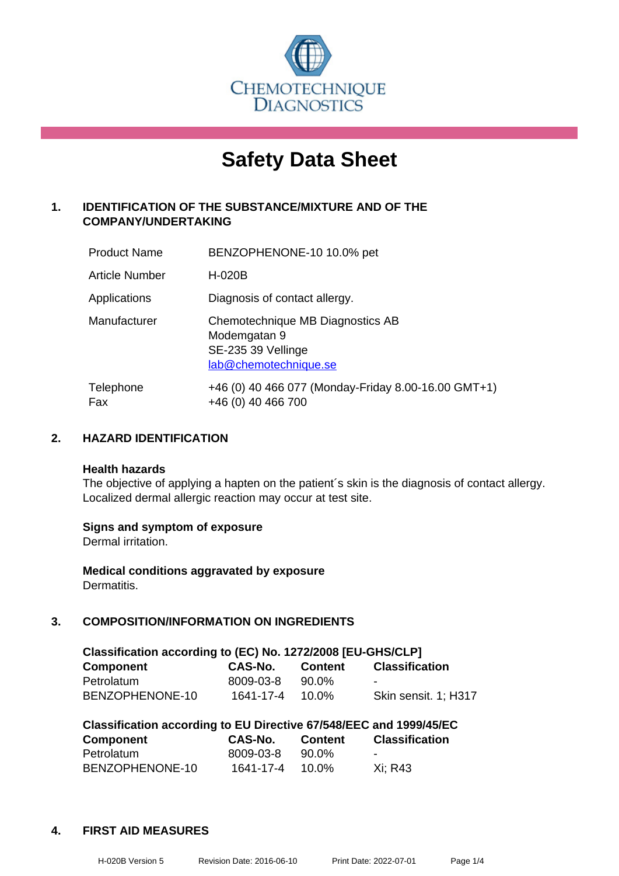

# **Safety Data Sheet**

# **1. IDENTIFICATION OF THE SUBSTANCE/MIXTURE AND OF THE COMPANY/UNDERTAKING**

| <b>Product Name</b>   | BENZOPHENONE-10 10.0% pet                                                                       |
|-----------------------|-------------------------------------------------------------------------------------------------|
| <b>Article Number</b> | H-020B                                                                                          |
| Applications          | Diagnosis of contact allergy.                                                                   |
| Manufacturer          | Chemotechnique MB Diagnostics AB<br>Modemgatan 9<br>SE-235 39 Vellinge<br>lab@chemotechnique.se |
| Telephone<br>Fax      | +46 (0) 40 466 077 (Monday-Friday 8.00-16.00 GMT+1)<br>+46 (0) 40 466 700                       |

# **2. HAZARD IDENTIFICATION**

#### **Health hazards**

The objective of applying a hapten on the patient's skin is the diagnosis of contact allergy. Localized dermal allergic reaction may occur at test site.

#### **Signs and symptom of exposure**

Dermal irritation.

**Medical conditions aggravated by exposure** Dermatitis.

# **3. COMPOSITION/INFORMATION ON INGREDIENTS**

| Classification according to (EC) No. 1272/2008 [EU-GHS/CLP] |           |                |                       |  |
|-------------------------------------------------------------|-----------|----------------|-----------------------|--|
| <b>Component</b>                                            | CAS-No.   | <b>Content</b> | <b>Classification</b> |  |
| Petrolatum                                                  | 8009-03-8 | 90.0%          |                       |  |
| BENZOPHENONE-10                                             | 1641-17-4 | 10.0%          | Skin sensit. 1: H317  |  |

| Classification according to EU Directive 67/548/EEC and 1999/45/EC |           |                |                       |  |
|--------------------------------------------------------------------|-----------|----------------|-----------------------|--|
| Component                                                          | CAS-No.   | <b>Content</b> | <b>Classification</b> |  |
| Petrolatum                                                         | 8009-03-8 | 90.0%          | -                     |  |
| BENZOPHENONE-10                                                    | 1641-17-4 | $10.0\%$       | Xi: R43               |  |

#### **4. FIRST AID MEASURES**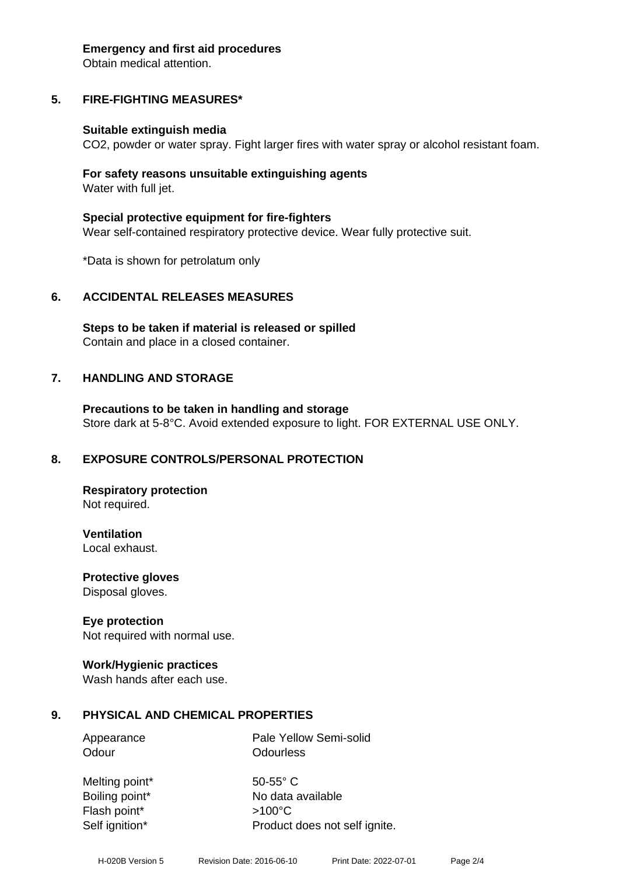#### **Emergency and first aid procedures**

Obtain medical attention.

# **5. FIRE-FIGHTING MEASURES\***

#### **Suitable extinguish media**

CO2, powder or water spray. Fight larger fires with water spray or alcohol resistant foam.

#### **For safety reasons unsuitable extinguishing agents** Water with full jet.

**Special protective equipment for fire-fighters** Wear self-contained respiratory protective device. Wear fully protective suit.

\*Data is shown for petrolatum only

# **6. ACCIDENTAL RELEASES MEASURES**

**Steps to be taken if material is released or spilled** Contain and place in a closed container.

#### **7. HANDLING AND STORAGE**

**Precautions to be taken in handling and storage** Store dark at 5-8°C. Avoid extended exposure to light. FOR EXTERNAL USE ONLY.

#### **8. EXPOSURE CONTROLS/PERSONAL PROTECTION**

**Respiratory protection** Not required.

**Ventilation** Local exhaust.

**Protective gloves** Disposal gloves.

#### **Eye protection**

Not required with normal use.

#### **Work/Hygienic practices**

Wash hands after each use.

#### **9. PHYSICAL AND CHEMICAL PROPERTIES**

Odour **Odourless** 

Appearance Pale Yellow Semi-solid

Melting point\* 50-55° C Flash point\* >100°C

Boiling point\* No data available Self ignition\* Product does not self ignite.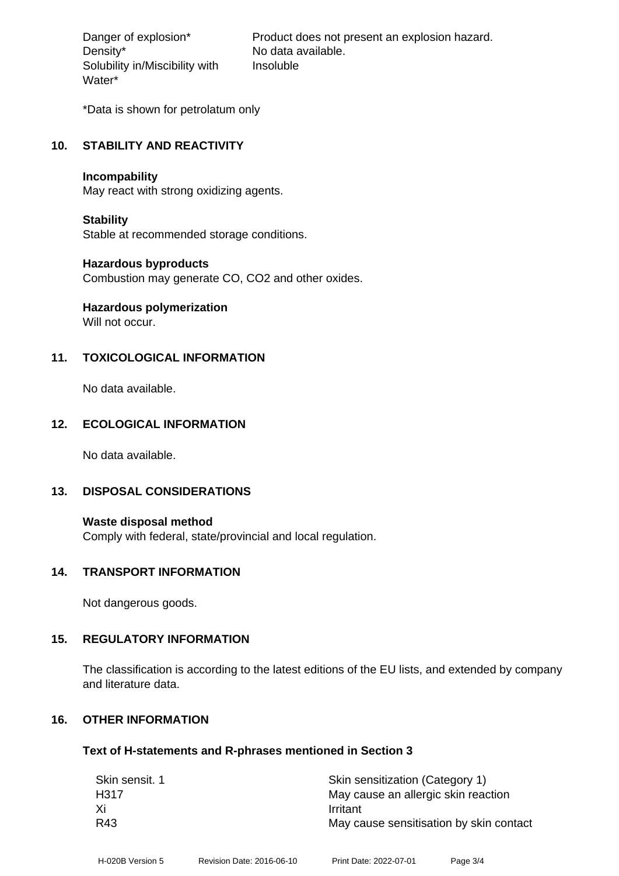Density\* No data available. Solubility in/Miscibility with Water\*

Danger of explosion\* Product does not present an explosion hazard. Insoluble

\*Data is shown for petrolatum only

#### **10. STABILITY AND REACTIVITY**

#### **Incompability**

May react with strong oxidizing agents.

#### **Stability**

Stable at recommended storage conditions.

#### **Hazardous byproducts**

Combustion may generate CO, CO2 and other oxides.

# **Hazardous polymerization**

Will not occur.

# **11. TOXICOLOGICAL INFORMATION**

No data available.

# **12. ECOLOGICAL INFORMATION**

No data available.

#### **13. DISPOSAL CONSIDERATIONS**

**Waste disposal method** Comply with federal, state/provincial and local regulation.

#### **14. TRANSPORT INFORMATION**

Not dangerous goods.

#### **15. REGULATORY INFORMATION**

The classification is according to the latest editions of the EU lists, and extended by company and literature data.

# **16. OTHER INFORMATION**

#### **Text of H-statements and R-phrases mentioned in Section 3**

| Skin sensit. 1 | Skin sensitization (Category 1)         |
|----------------|-----------------------------------------|
| H317           | May cause an allergic skin reaction     |
| Xi             | Irritant                                |
| R43            | May cause sensitisation by skin contact |
|                |                                         |